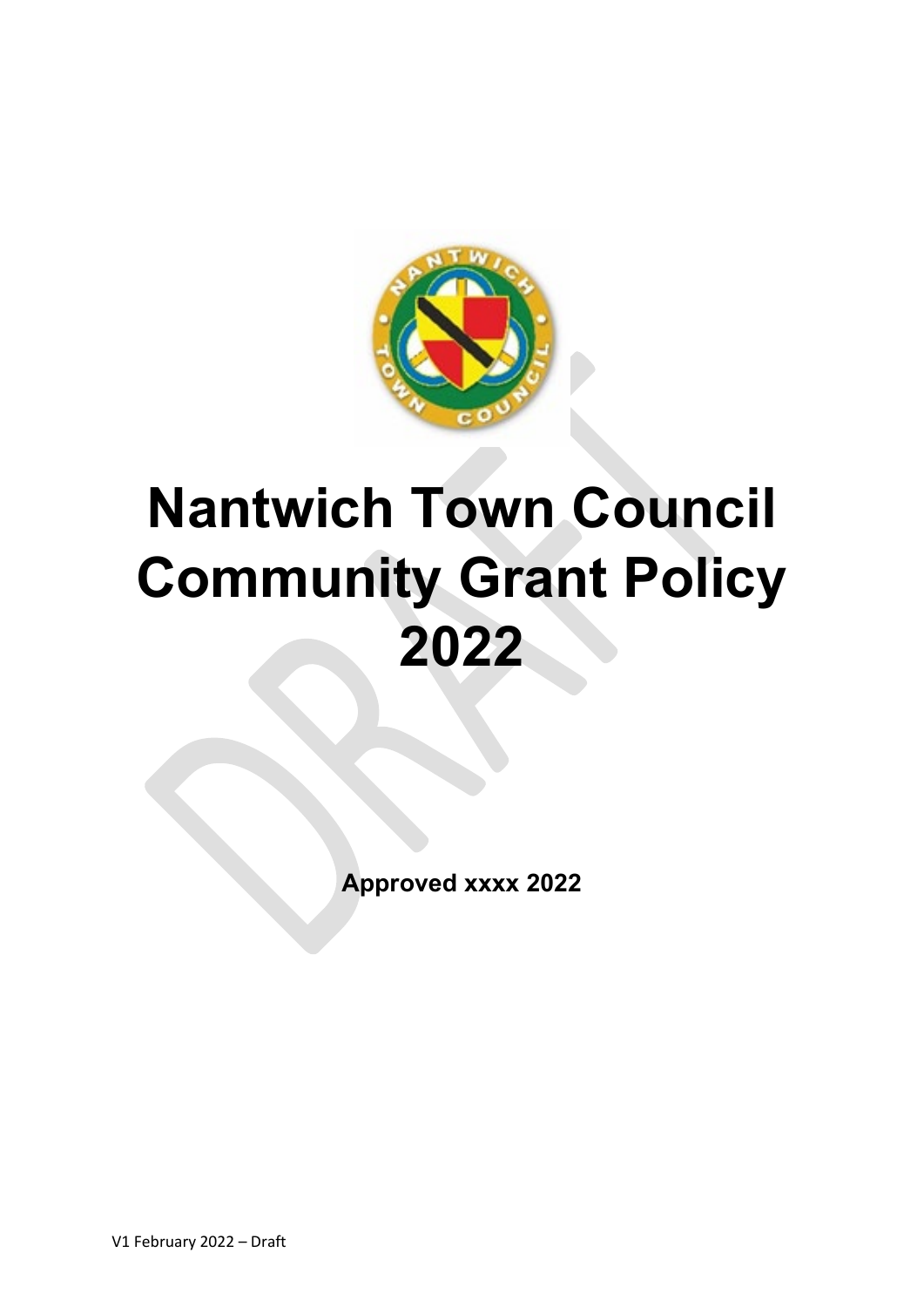

# **Nantwich Town Council Community Grant Policy 2022**

**Approved xxxx 2022**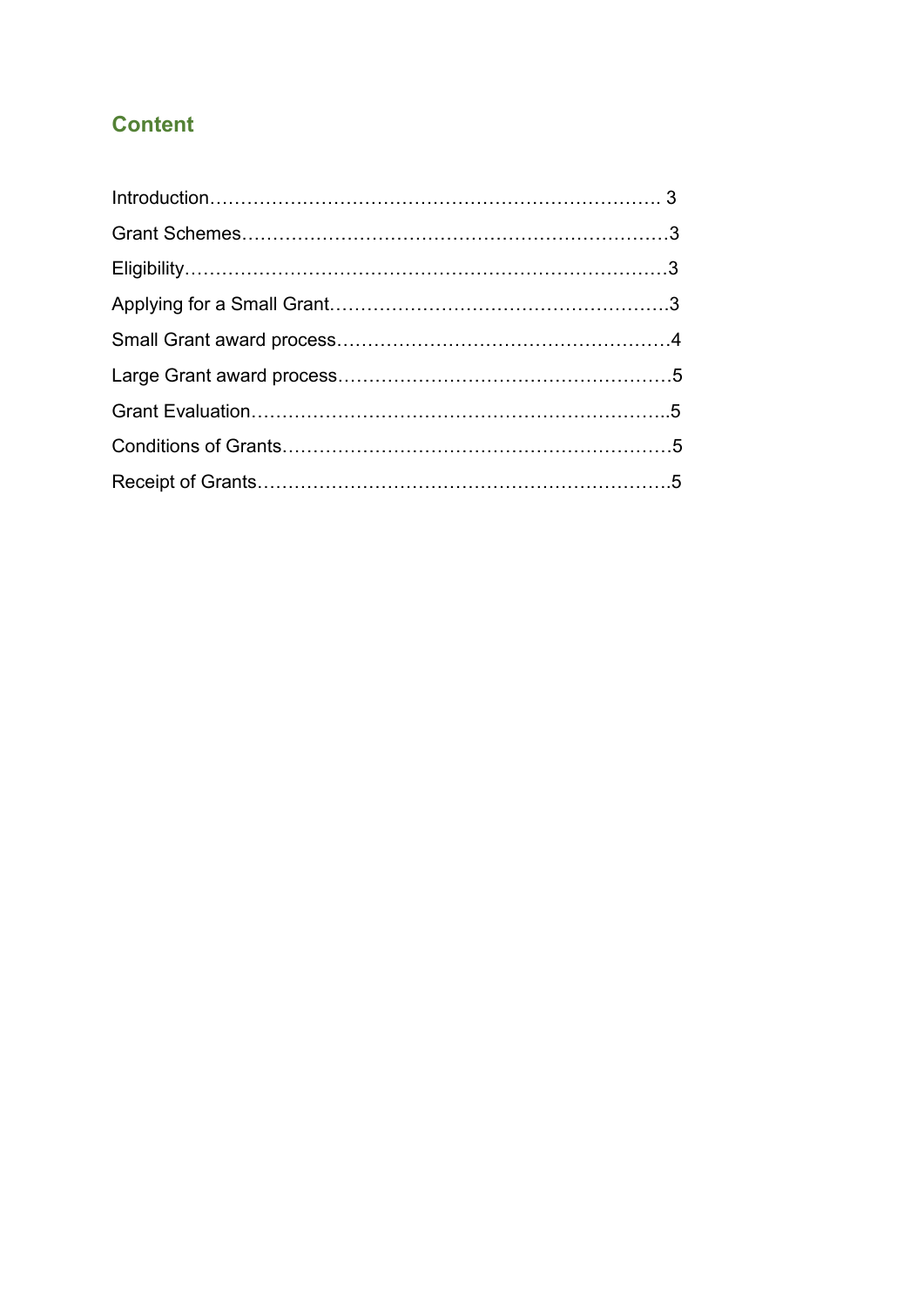## **Content**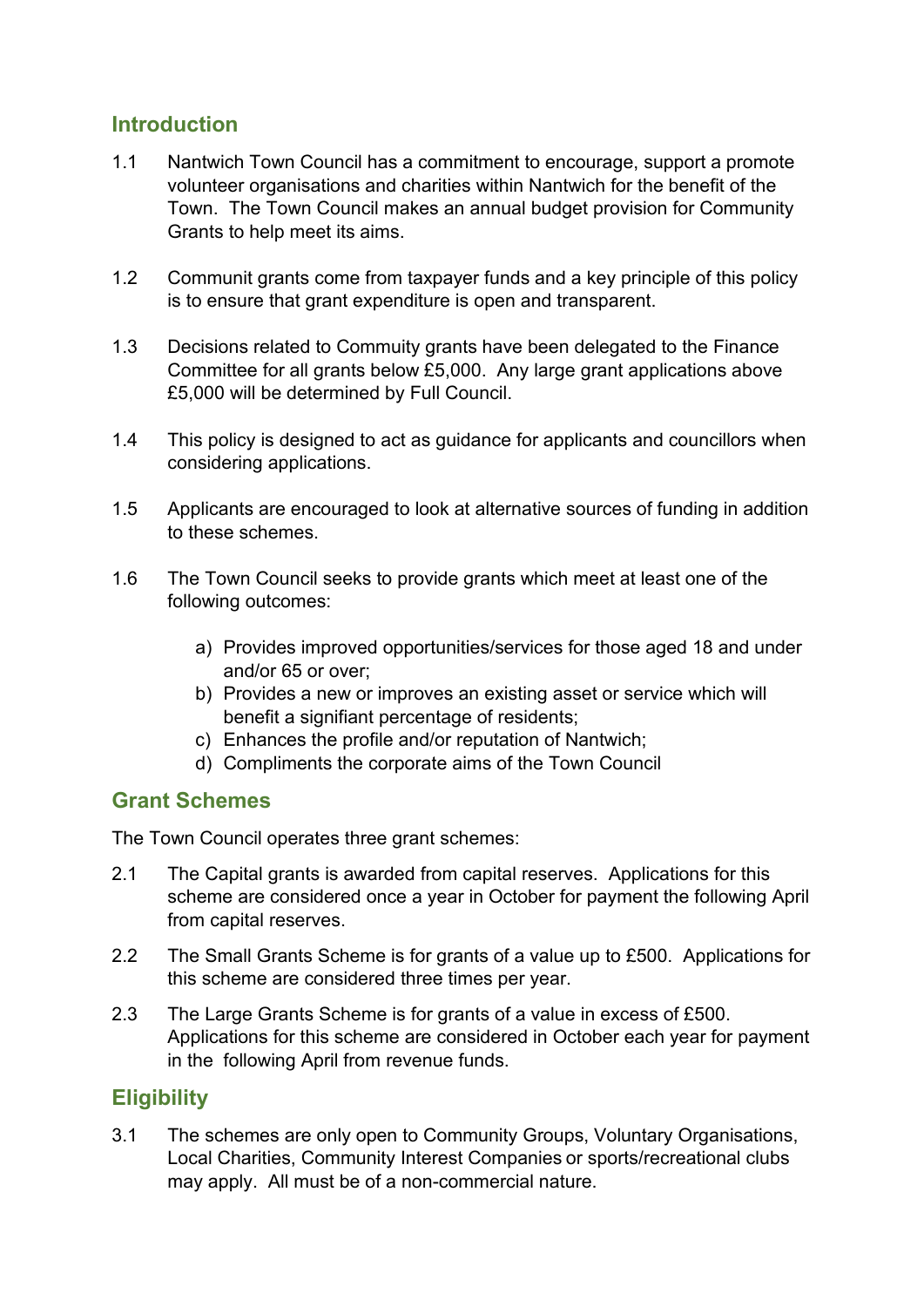## **Introduction**

- 1.1 Nantwich Town Council has a commitment to encourage, support a promote volunteer organisations and charities within Nantwich for the benefit of the Town. The Town Council makes an annual budget provision for Community Grants to help meet its aims.
- 1.2 Communit grants come from taxpayer funds and a key principle of this policy is to ensure that grant expenditure is open and transparent.
- 1.3 Decisions related to Commuity grants have been delegated to the Finance Committee for all grants below £5,000. Any large grant applications above £5,000 will be determined by Full Council.
- 1.4 This policy is designed to act as guidance for applicants and councillors when considering applications.
- 1.5 Applicants are encouraged to look at alternative sources of funding in addition to these schemes.
- 1.6 The Town Council seeks to provide grants which meet at least one of the following outcomes:
	- a) Provides improved opportunities/services for those aged 18 and under and/or 65 or over;
	- b) Provides a new or improves an existing asset or service which will benefit a signifiant percentage of residents;
	- c) Enhances the profile and/or reputation of Nantwich;
	- d) Compliments the corporate aims of the Town Council

## **Grant Schemes**

The Town Council operates three grant schemes:

- 2.1 The Capital grants is awarded from capital reserves. Applications for this scheme are considered once a year in October for payment the following April from capital reserves.
- 2.2 The Small Grants Scheme is for grants of a value up to £500. Applications for this scheme are considered three times per year.
- 2.3 The Large Grants Scheme is for grants of a value in excess of £500. Applications for this scheme are considered in October each year for payment in the following April from revenue funds.

## **Eligibility**

3.1 The schemes are only open to Community Groups, Voluntary Organisations, Local Charities, Community Interest Companies or sports/recreational clubs may apply. All must be of a non-commercial nature.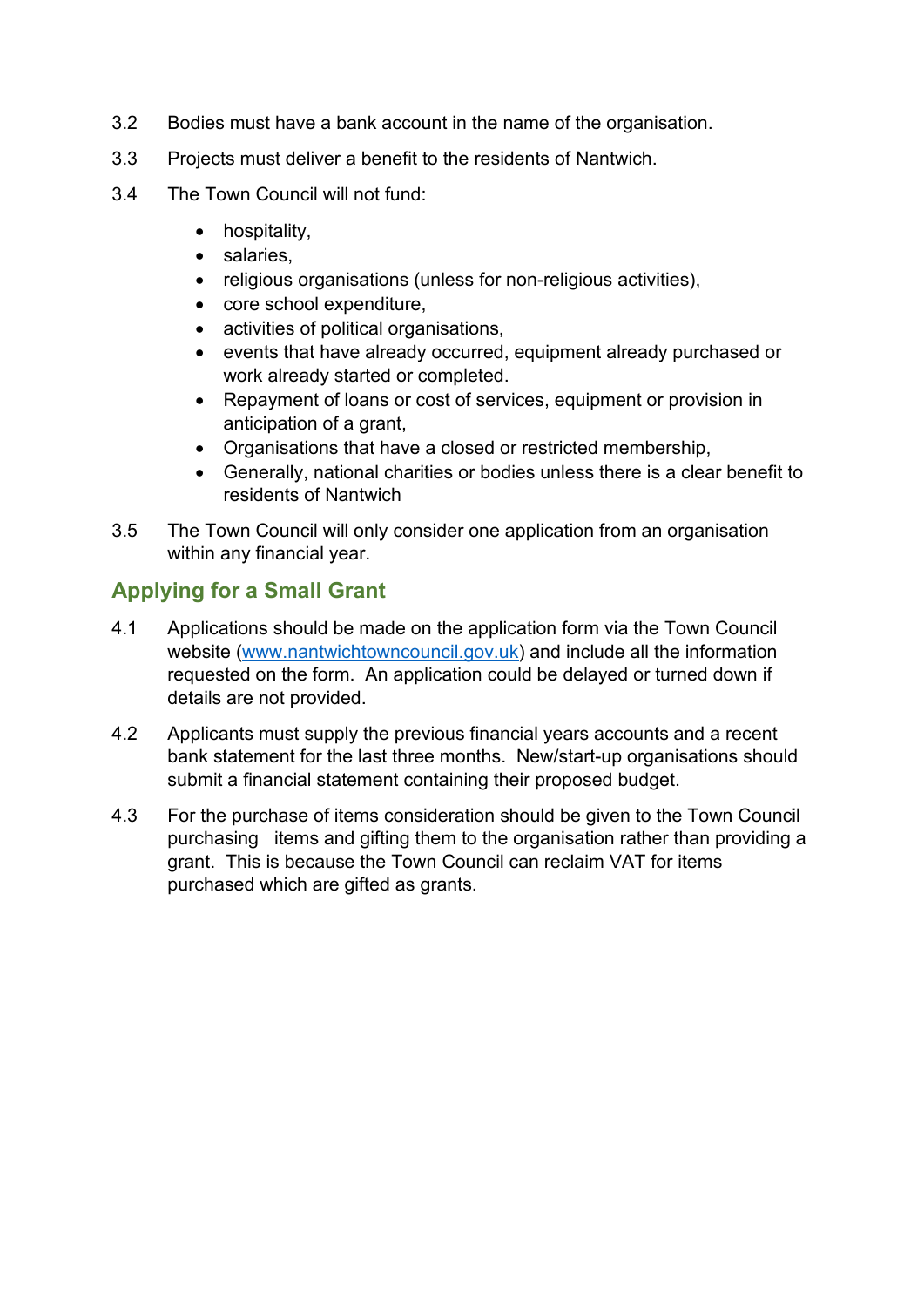- 3.2 Bodies must have a bank account in the name of the organisation.
- 3.3 Projects must deliver a benefit to the residents of Nantwich.
- 3.4 The Town Council will not fund:
	- hospitality,
	- salaries,
	- religious organisations (unless for non-religious activities),
	- core school expenditure,
	- activities of political organisations,
	- events that have already occurred, equipment already purchased or work already started or completed.
	- Repayment of loans or cost of services, equipment or provision in anticipation of a grant,
	- Organisations that have a closed or restricted membership,
	- Generally, national charities or bodies unless there is a clear benefit to residents of Nantwich
- 3.5 The Town Council will only consider one application from an organisation within any financial year.

## **Applying for a Small Grant**

- 4.1 Applications should be made on the application form via the Town Council website [\(www.nantwichtowncouncil.gov.uk\)](http://www.nantwichtowncouncil.gov.uk/) and include all the information requested on the form. An application could be delayed or turned down if details are not provided.
- 4.2 Applicants must supply the previous financial years accounts and a recent bank statement for the last three months. New/start-up organisations should submit a financial statement containing their proposed budget.
- 4.3 For the purchase of items consideration should be given to the Town Council purchasing items and gifting them to the organisation rather than providing a grant. This is because the Town Council can reclaim VAT for items purchased which are gifted as grants.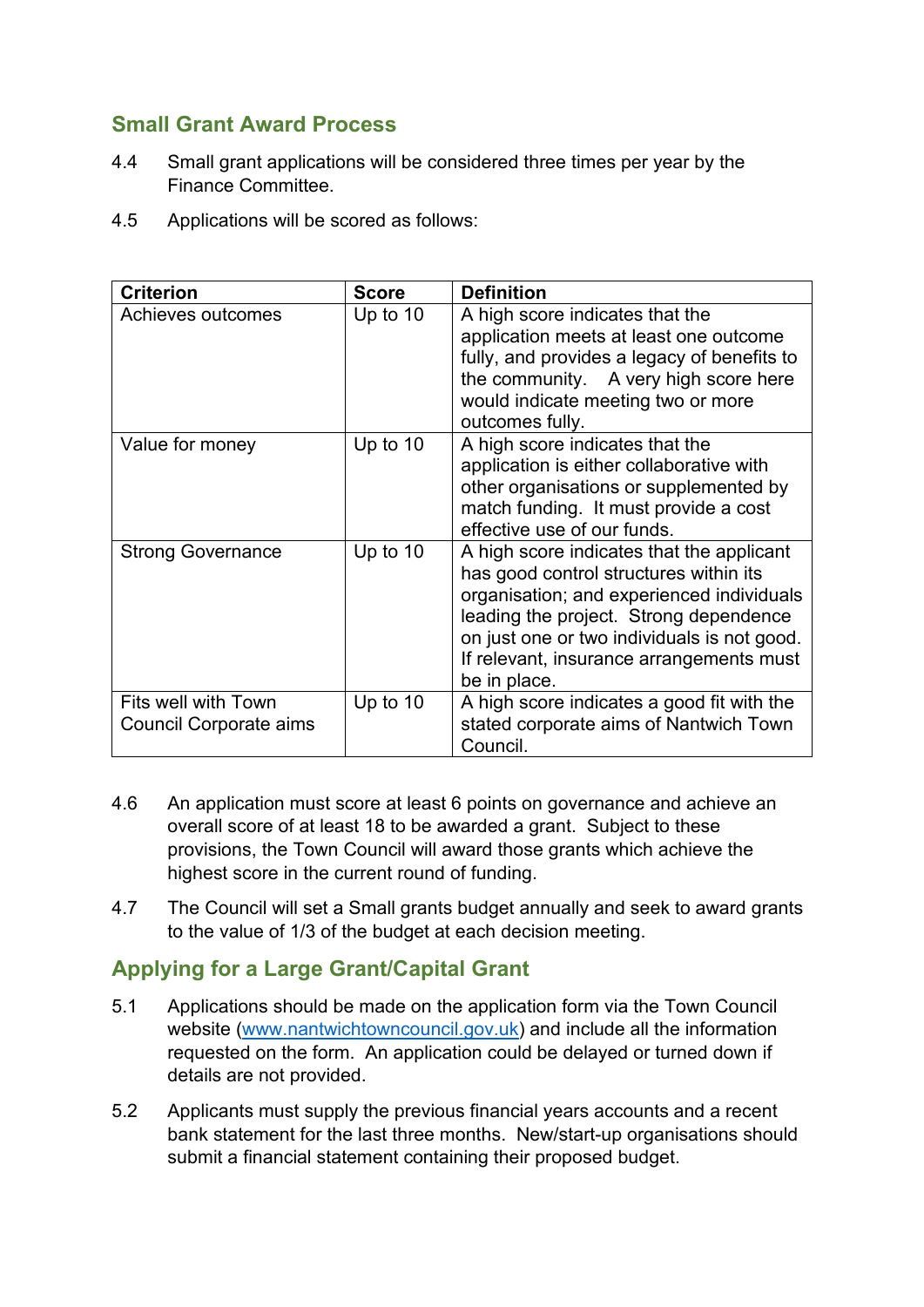## **Small Grant Award Process**

- 4.4 Small grant applications will be considered three times per year by the Finance Committee.
- 4.5 Applications will be scored as follows:

| <b>Criterion</b>                                     | <b>Score</b> | <b>Definition</b>                                                                                                                                                                                                                                                                     |
|------------------------------------------------------|--------------|---------------------------------------------------------------------------------------------------------------------------------------------------------------------------------------------------------------------------------------------------------------------------------------|
| Achieves outcomes                                    | Up to 10     | A high score indicates that the<br>application meets at least one outcome<br>fully, and provides a legacy of benefits to<br>the community. A very high score here<br>would indicate meeting two or more<br>outcomes fully.                                                            |
| Value for money                                      | Up to 10     | A high score indicates that the<br>application is either collaborative with<br>other organisations or supplemented by<br>match funding. It must provide a cost<br>effective use of our funds.                                                                                         |
| <b>Strong Governance</b>                             | Up to $10$   | A high score indicates that the applicant<br>has good control structures within its<br>organisation; and experienced individuals<br>leading the project. Strong dependence<br>on just one or two individuals is not good.<br>If relevant, insurance arrangements must<br>be in place. |
| Fits well with Town<br><b>Council Corporate aims</b> | Up to $10$   | A high score indicates a good fit with the<br>stated corporate aims of Nantwich Town<br>Council.                                                                                                                                                                                      |

- 4.6 An application must score at least 6 points on governance and achieve an overall score of at least 18 to be awarded a grant. Subject to these provisions, the Town Council will award those grants which achieve the highest score in the current round of funding.
- 4.7 The Council will set a Small grants budget annually and seek to award grants to the value of 1/3 of the budget at each decision meeting.

## **Applying for a Large Grant/Capital Grant**

- 5.1 Applications should be made on the application form via the Town Council website [\(www.nantwichtowncouncil.gov.uk\)](http://www.nantwichtowncouncil.gov.uk/) and include all the information requested on the form. An application could be delayed or turned down if details are not provided.
- 5.2 Applicants must supply the previous financial years accounts and a recent bank statement for the last three months. New/start-up organisations should submit a financial statement containing their proposed budget.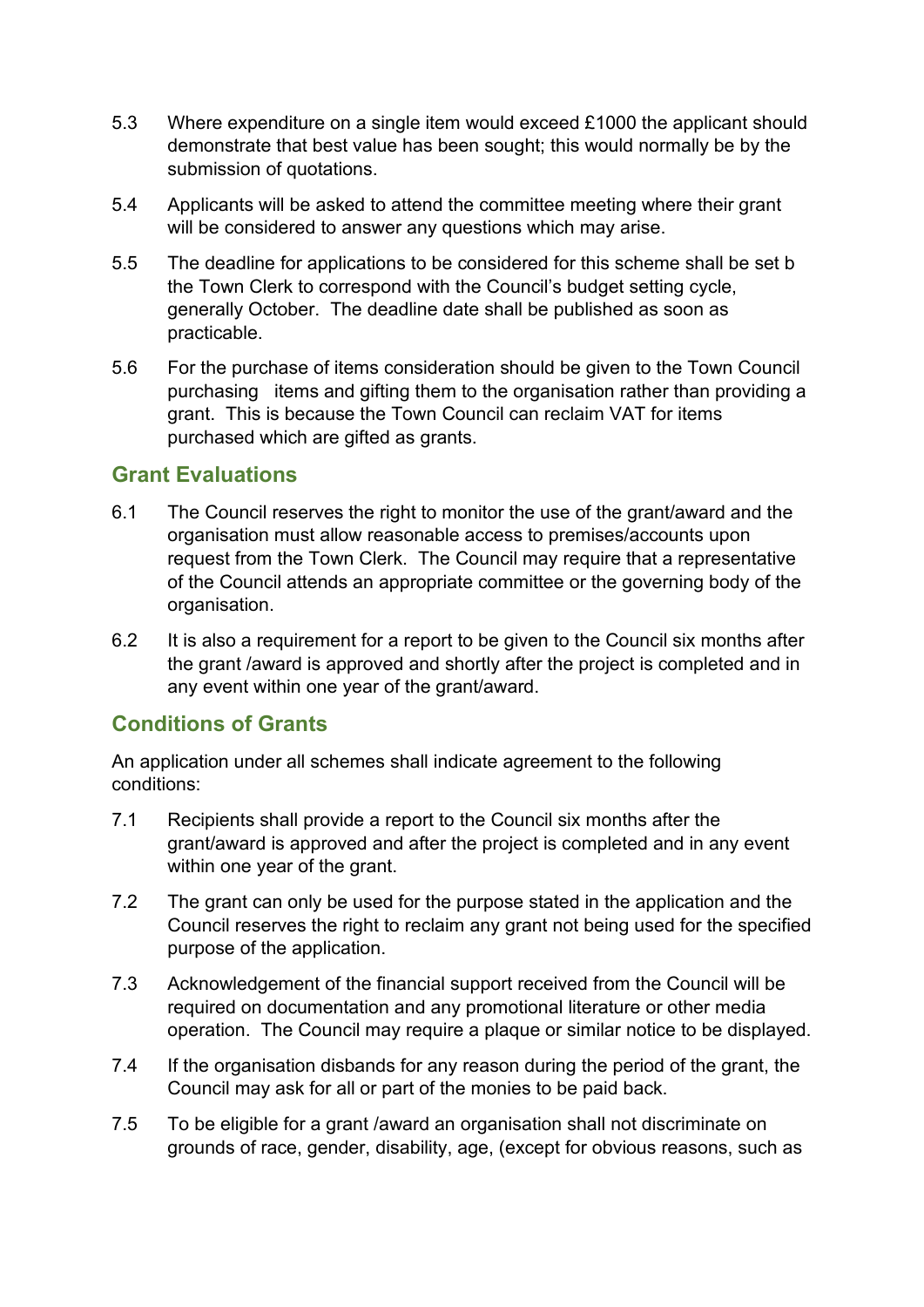- 5.3 Where expenditure on a single item would exceed £1000 the applicant should demonstrate that best value has been sought; this would normally be by the submission of quotations.
- 5.4 Applicants will be asked to attend the committee meeting where their grant will be considered to answer any questions which may arise.
- 5.5 The deadline for applications to be considered for this scheme shall be set b the Town Clerk to correspond with the Council's budget setting cycle, generally October. The deadline date shall be published as soon as practicable.
- 5.6 For the purchase of items consideration should be given to the Town Council purchasing items and gifting them to the organisation rather than providing a grant. This is because the Town Council can reclaim VAT for items purchased which are gifted as grants.

#### **Grant Evaluations**

- 6.1 The Council reserves the right to monitor the use of the grant/award and the organisation must allow reasonable access to premises/accounts upon request from the Town Clerk. The Council may require that a representative of the Council attends an appropriate committee or the governing body of the organisation.
- 6.2 It is also a requirement for a report to be given to the Council six months after the grant /award is approved and shortly after the project is completed and in any event within one year of the grant/award.

## **Conditions of Grants**

An application under all schemes shall indicate agreement to the following conditions:

- 7.1 Recipients shall provide a report to the Council six months after the grant/award is approved and after the project is completed and in any event within one year of the grant.
- 7.2 The grant can only be used for the purpose stated in the application and the Council reserves the right to reclaim any grant not being used for the specified purpose of the application.
- 7.3 Acknowledgement of the financial support received from the Council will be required on documentation and any promotional literature or other media operation. The Council may require a plaque or similar notice to be displayed.
- 7.4 If the organisation disbands for any reason during the period of the grant, the Council may ask for all or part of the monies to be paid back.
- 7.5 To be eligible for a grant /award an organisation shall not discriminate on grounds of race, gender, disability, age, (except for obvious reasons, such as